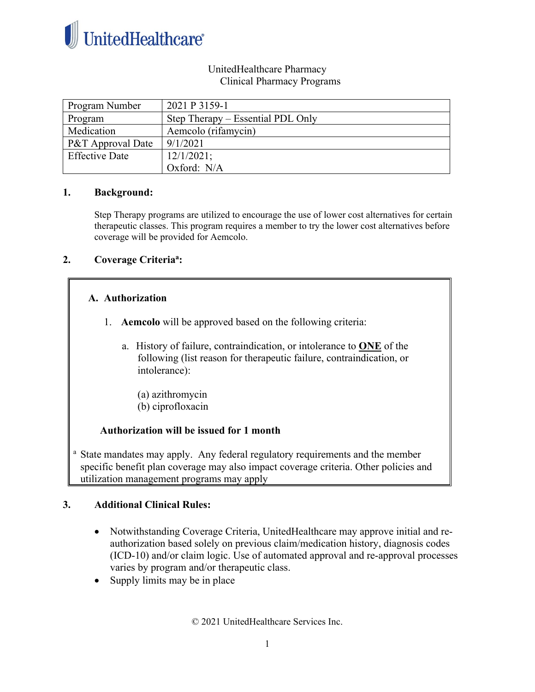

## UnitedHealthcare Pharmacy Clinical Pharmacy Programs

| Program Number        | 2021 P 3159-1                     |
|-----------------------|-----------------------------------|
| Program               | Step Therapy – Essential PDL Only |
| Medication            | Aemcolo (rifamycin)               |
| P&T Approval Date     | 9/1/2021                          |
| <b>Effective Date</b> | 12/1/2021;                        |
|                       | Oxford: N/A                       |

## **1. Background:**

Step Therapy programs are utilized to encourage the use of lower cost alternatives for certain therapeutic classes. This program requires a member to try the lower cost alternatives before coverage will be provided for Aemcolo.

## **2. Coverage Criteriaa :**

## **A. Authorization**

- 1. **Aemcolo** will be approved based on the following criteria:
	- a. History of failure, contraindication, or intolerance to **ONE** of the following (list reason for therapeutic failure, contraindication, or intolerance):
		- (a) azithromycin (b) ciprofloxacin

## **Authorization will be issued for 1 month**

<sup>a</sup> State mandates may apply. Any federal regulatory requirements and the member specific benefit plan coverage may also impact coverage criteria. Other policies and utilization management programs may apply

## **3. Additional Clinical Rules:**

- Notwithstanding Coverage Criteria, UnitedHealthcare may approve initial and reauthorization based solely on previous claim/medication history, diagnosis codes (ICD-10) and/or claim logic. Use of automated approval and re-approval processes varies by program and/or therapeutic class.
- Supply limits may be in place

© 2021 UnitedHealthcare Services Inc.